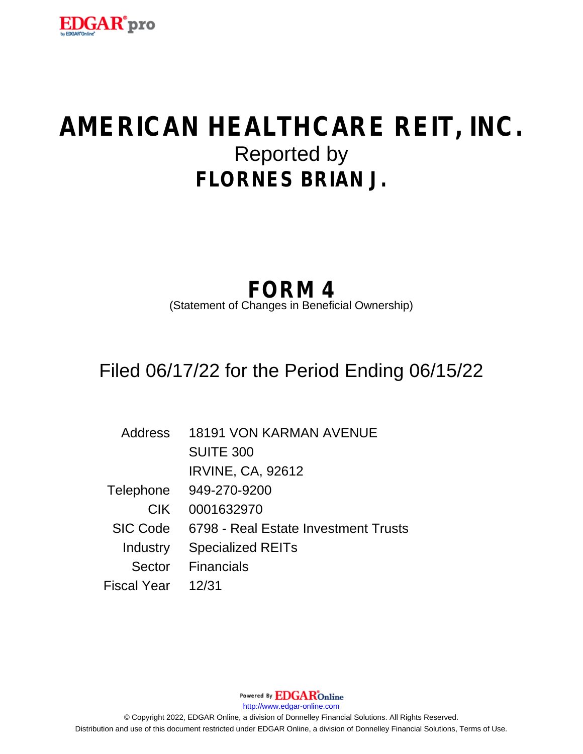

# **AMERICAN HEALTHCARE REIT, INC.** Reported by **FLORNES BRIAN J.**

## **FORM 4**

(Statement of Changes in Beneficial Ownership)

### Filed 06/17/22 for the Period Ending 06/15/22

| Address         | <b>18191 VON KARMAN AVENUE</b>       |
|-----------------|--------------------------------------|
|                 | <b>SUITE 300</b>                     |
|                 | <b>IRVINE, CA, 92612</b>             |
| Telephone       | 949-270-9200                         |
| <b>CIK</b>      | 0001632970                           |
| <b>SIC Code</b> | 6798 - Real Estate Investment Trusts |
| Industry        | <b>Specialized REITs</b>             |
|                 | Sector Financials                    |
| Fiscal Year     | 12/31                                |

Powered By **EDGAR**Online http://www.edgar-online.com © Copyright 2022, EDGAR Online, a division of Donnelley Financial Solutions. All Rights Reserved. Distribution and use of this document restricted under EDGAR Online, a division of Donnelley Financial Solutions, Terms of Use.